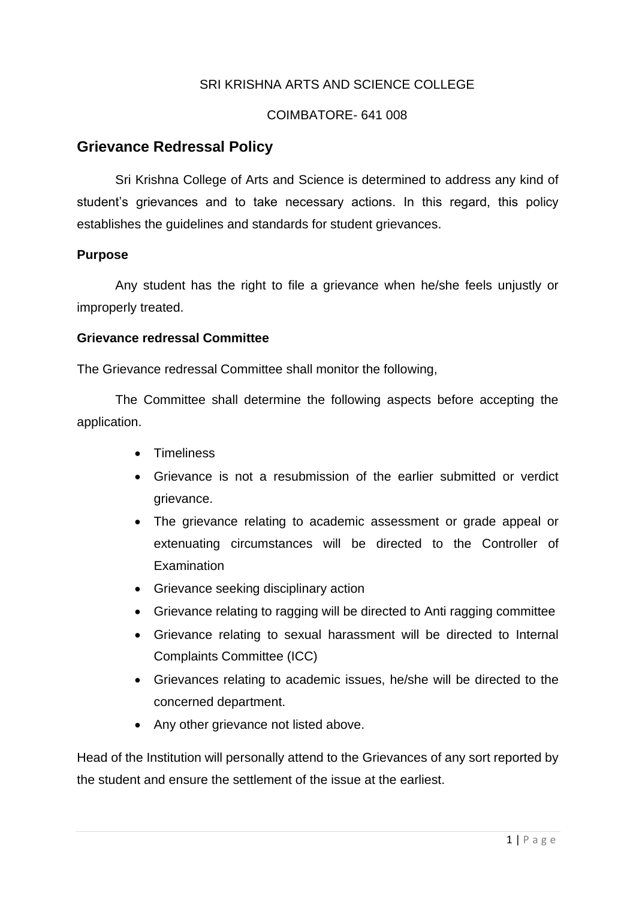# SRI KRISHNA ARTS AND SCIENCE COLLEGE

### COIMBATORE- 641 008

## **Grievance Redressal Policy**

Sri Krishna College of Arts and Science is determined to address any kind of student's grievances and to take necessary actions. In this regard, this policy establishes the guidelines and standards for student grievances.

### **Purpose**

Any student has the right to file a grievance when he/she feels unjustly or improperly treated.

#### **Grievance redressal Committee**

The Grievance redressal Committee shall monitor the following,

The Committee shall determine the following aspects before accepting the application.

- Timeliness
- Grievance is not a resubmission of the earlier submitted or verdict grievance.
- The grievance relating to academic assessment or grade appeal or extenuating circumstances will be directed to the Controller of **Examination**
- Grievance seeking disciplinary action
- Grievance relating to ragging will be directed to Anti ragging committee
- Grievance relating to sexual harassment will be directed to Internal Complaints Committee (ICC)
- Grievances relating to academic issues, he/she will be directed to the concerned department.
- Any other grievance not listed above.

Head of the Institution will personally attend to the Grievances of any sort reported by the student and ensure the settlement of the issue at the earliest.